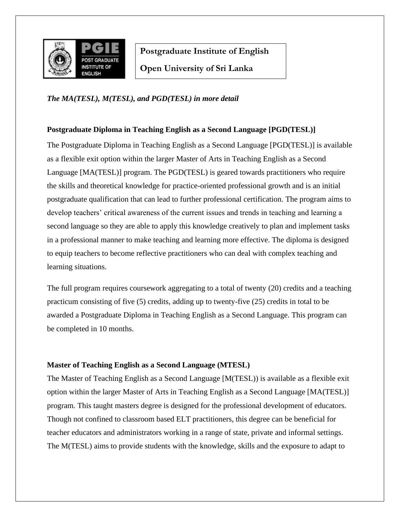

**Postgraduate Institute of English**

**Open University of Sri Lanka**

## *The MA(TESL), M(TESL), and PGD(TESL) in more detail*

## **Postgraduate Diploma in Teaching English as a Second Language [PGD(TESL)]**

The Postgraduate Diploma in Teaching English as a Second Language [PGD(TESL)] is available as a flexible exit option within the larger Master of Arts in Teaching English as a Second Language [MA(TESL)] program. The PGD(TESL) is geared towards practitioners who require the skills and theoretical knowledge for practice-oriented professional growth and is an initial postgraduate qualification that can lead to further professional certification. The program aims to develop teachers' critical awareness of the current issues and trends in teaching and learning a second language so they are able to apply this knowledge creatively to plan and implement tasks in a professional manner to make teaching and learning more effective. The diploma is designed to equip teachers to become reflective practitioners who can deal with complex teaching and learning situations.

The full program requires coursework aggregating to a total of twenty (20) credits and a teaching practicum consisting of five (5) credits, adding up to twenty-five (25) credits in total to be awarded a Postgraduate Diploma in Teaching English as a Second Language. This program can be completed in 10 months.

## **Master of Teaching English as a Second Language (MTESL)**

The Master of Teaching English as a Second Language [M(TESL)) is available as a flexible exit option within the larger Master of Arts in Teaching English as a Second Language [MA(TESL)] program. This taught masters degree is designed for the professional development of educators. Though not confined to classroom based ELT practitioners, this degree can be beneficial for teacher educators and administrators working in a range of state, private and informal settings. The M(TESL) aims to provide students with the knowledge, skills and the exposure to adapt to